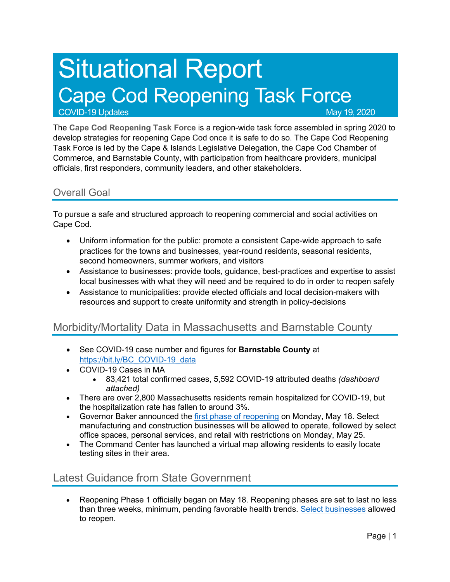# Situational Report Cape Cod Reopening Task Force

COVID-19 Updates May 19, 2020

The **Cape Cod Reopening Task Force** is a region-wide task force assembled in spring 2020 to develop strategies for reopening Cape Cod once it is safe to do so. The Cape Cod Reopening Task Force is led by the Cape & Islands Legislative Delegation, the Cape Cod Chamber of Commerce, and Barnstable County, with participation from healthcare providers, municipal officials, first responders, community leaders, and other stakeholders.

#### Overall Goal

To pursue a safe and structured approach to reopening commercial and social activities on Cape Cod.

- Uniform information for the public: promote a consistent Cape-wide approach to safe practices for the towns and businesses, year-round residents, seasonal residents, second homeowners, summer workers, and visitors
- Assistance to businesses: provide tools, guidance, best-practices and expertise to assist local businesses with what they will need and be required to do in order to reopen safely
- Assistance to municipalities: provide elected officials and local decision-makers with resources and support to create uniformity and strength in policy-decisions

## Morbidity/Mortality Data in Massachusetts and Barnstable County

- See COVID-19 case number and figures for **Barnstable County** at https://bit.ly/BC\_COVID-19\_data
- COVID-19 Cases in MA
	- 83,421 total confirmed cases, 5,592 COVID-19 attributed deaths *(dashboard attached)*
- There are over 2,800 Massachusetts residents remain hospitalized for COVID-19, but the hospitalization rate has fallen to around 3%.
- Governor Baker announced the first phase of reopening on Monday, May 18. Select manufacturing and construction businesses will be allowed to operate, followed by select office spaces, personal services, and retail with restrictions on Monday, May 25.
- The Command Center has launched a virtual map allowing residents to easily locate testing sites in their area.

## Latest Guidance from State Government

• Reopening Phase 1 officially began on May 18. Reopening phases are set to last no less than three weeks, minimum, pending favorable health trends. Select businesses allowed to reopen.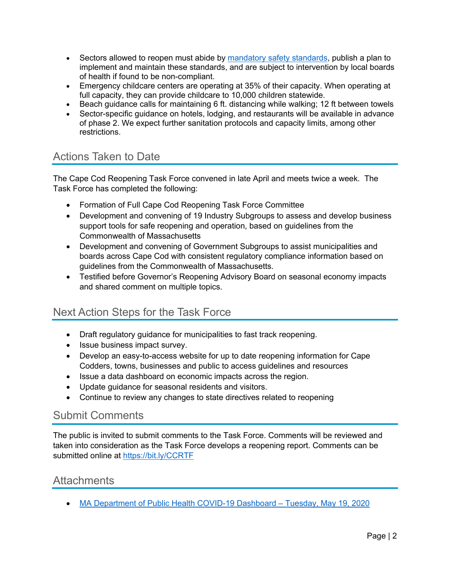- Sectors allowed to reopen must abide by mandatory safety standards, publish a plan to implement and maintain these standards, and are subject to intervention by local boards of health if found to be non-compliant.
- Emergency childcare centers are operating at 35% of their capacity. When operating at full capacity, they can provide childcare to 10,000 children statewide.
- Beach guidance calls for maintaining 6 ft. distancing while walking; 12 ft between towels
- Sector-specific guidance on hotels, lodging, and restaurants will be available in advance of phase 2. We expect further sanitation protocols and capacity limits, among other restrictions.

# Actions Taken to Date

The Cape Cod Reopening Task Force convened in late April and meets twice a week. The Task Force has completed the following:

- Formation of Full Cape Cod Reopening Task Force Committee
- Development and convening of 19 Industry Subgroups to assess and develop business support tools for safe reopening and operation, based on guidelines from the Commonwealth of Massachusetts
- Development and convening of Government Subgroups to assist municipalities and boards across Cape Cod with consistent regulatory compliance information based on guidelines from the Commonwealth of Massachusetts.
- Testified before Governor's Reopening Advisory Board on seasonal economy impacts and shared comment on multiple topics.

# Next Action Steps for the Task Force

- Draft regulatory guidance for municipalities to fast track reopening.
- Issue business impact survey.
- Develop an easy-to-access website for up to date reopening information for Cape Codders, towns, businesses and public to access guidelines and resources
- Issue a data dashboard on economic impacts across the region.
- Update guidance for seasonal residents and visitors.
- Continue to review any changes to state directives related to reopening

### Submit Comments

The public is invited to submit comments to the Task Force. Comments will be reviewed and taken into consideration as the Task Force develops a reopening report. Comments can be submitted online at https://bit.ly/CCRTF

### Attachments

• MA Department of Public Health COVID-19 Dashboard – Tuesday, May 19, 2020